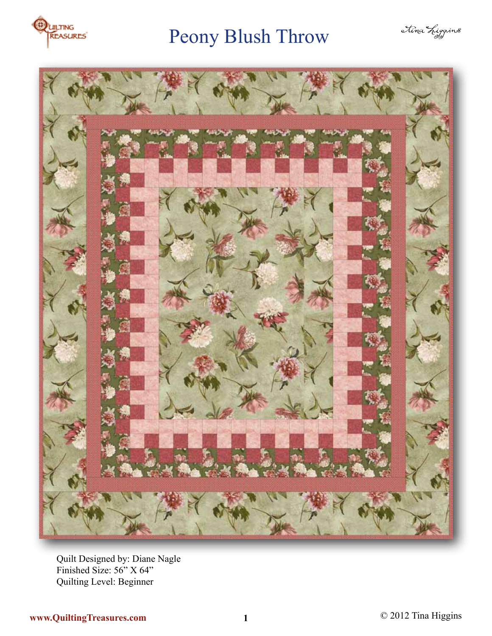

# Peony Blush Throw





Quilt Designed by: Diane Nagle Finished Size: 56" X 64" Quilting Level: Beginner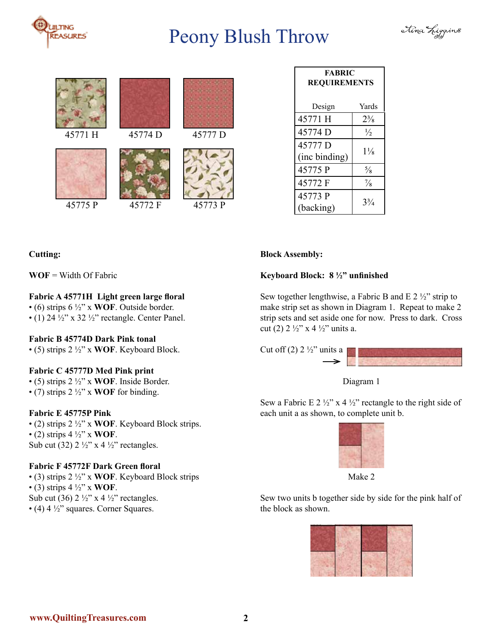

## Peony Blush Throw









|         |         |         |                          | <b>FABRIC</b><br><b>REQUIREMENTS</b> |  |
|---------|---------|---------|--------------------------|--------------------------------------|--|
|         |         |         | Design                   | Yards                                |  |
|         |         |         | 45771 H                  | $2\frac{3}{8}$                       |  |
| 45771 H | 45774 D | 45777 D | 45774 D                  | $\frac{1}{2}$                        |  |
|         |         |         | 45777 D<br>(inc binding) | $1\frac{1}{8}$                       |  |
|         |         |         | 45775 P                  | $\frac{5}{8}$                        |  |
|         |         |         | 45772 F                  | $\frac{7}{8}$                        |  |
| 45775 P | 45772 F | 45773 P | 45773 P<br>(backing)     | $3\frac{3}{4}$                       |  |

## **Cutting:**

#### **WOF** = Width Of Fabric

## **Fabric A 45771H Light green large floral**

• (6) strips 6 ½" x **WOF**. Outside border.

• (1) 24  $\frac{1}{2}$ " x 32  $\frac{1}{2}$ " rectangle. Center Panel.

#### **Fabric B 45774D Dark Pink tonal**

• (5) strips 2 ½" x **WOF**. Keyboard Block.

## **Fabric C 45777D Med Pink print**

• (5) strips 2 ½" x **WOF**. Inside Border. • (7) strips 2 ½" x **WOF** for binding.

## **Fabric E 45775P Pink**

• (2) strips 2 ½" x **WOF**. Keyboard Block strips. • (2) strips 4 ½" x **WOF**. Sub cut (32)  $2 \frac{1}{2}$ " x 4 $\frac{1}{2}$ " rectangles.

## **Fabric F 45772F Dark Green floral**

• (3) strips 2 ½" x **WOF**. Keyboard Block strips  $\bullet$  (3) strips 4  $\frac{1}{2}$ " x **WOF**. Sub cut (36)  $2 \frac{1}{2}$ " x 4  $\frac{1}{2}$ " rectangles.  $\bullet$  (4) 4  $\frac{1}{2}$ " squares. Corner Squares.

## **Block Assembly:**

#### **Keyboard Block: 8 ½" unfinished**

Sew together lengthwise, a Fabric B and E  $2\frac{1}{2}$ " strip to make strip set as shown in Diagram 1. Repeat to make 2 strip sets and set aside one for now. Press to dark. Cross cut (2)  $2\frac{1}{2}$ " x 4  $\frac{1}{2}$ " units a.



#### Diagram 1

Sew a Fabric E 2  $\frac{1}{2}$ " x 4  $\frac{1}{2}$ " rectangle to the right side of each unit a as shown, to complete unit b.



Make 2

Sew two units b together side by side for the pink half of the block as shown.